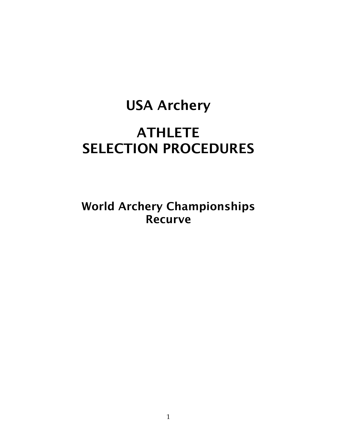# USA Archery **ATHLETE** SELECTION PROCEDURES

World Archery Championships Recurve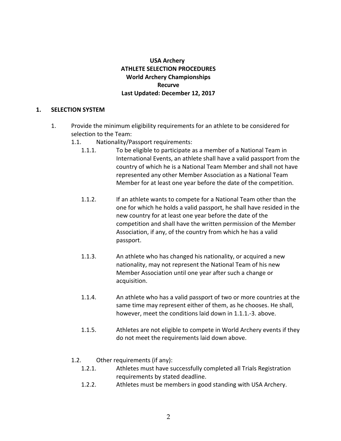# **USA** Archery **ATHLETE SELECTION PROCEDURES World Archery Championships Recurve Last Updated: December 12, 2017**

## **1. SELECTION SYSTEM**

- 1. Provide the minimum eligibility requirements for an athlete to be considered for selection to the Team:
	- 1.1. Nationality/Passport requirements:
		- 1.1.1. To be eligible to participate as a member of a National Team in International Events, an athlete shall have a valid passport from the country of which he is a National Team Member and shall not have represented any other Member Association as a National Team Member for at least one year before the date of the competition.
		- 1.1.2. If an athlete wants to compete for a National Team other than the one for which he holds a valid passport, he shall have resided in the new country for at least one year before the date of the competition and shall have the written permission of the Member Association, if any, of the country from which he has a valid passport.
		- 1.1.3. An athlete who has changed his nationality, or acquired a new nationality, may not represent the National Team of his new Member Association until one year after such a change or acquisition.
		- 1.1.4. An athlete who has a valid passport of two or more countries at the same time may represent either of them, as he chooses. He shall, however, meet the conditions laid down in 1.1.1.-3. above.
		- 1.1.5. Athletes are not eligible to compete in World Archery events if they do not meet the requirements laid down above.

## 1.2. Other requirements (if any):

- 1.2.1. Athletes must have successfully completed all Trials Registration requirements by stated deadline.
- 1.2.2. Athletes must be members in good standing with USA Archery.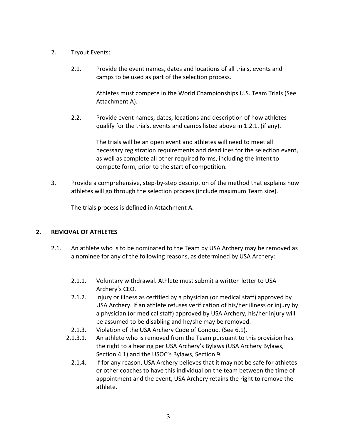- 2. Tryout Events:
	- 2.1. Provide the event names, dates and locations of all trials, events and camps to be used as part of the selection process.

Athletes must compete in the World Championships U.S. Team Trials (See Attachment A).

2.2. Provide event names, dates, locations and description of how athletes qualify for the trials, events and camps listed above in 1.2.1. (if any).

> The trials will be an open event and athletes will need to meet all necessary registration requirements and deadlines for the selection event, as well as complete all other required forms, including the intent to compete form, prior to the start of competition.

3. Provide a comprehensive, step-by-step description of the method that explains how athletes will go through the selection process (include maximum Team size).

The trials process is defined in Attachment A.

# **2. REMOVAL OF ATHLETES**

- 2.1. An athlete who is to be nominated to the Team by USA Archery may be removed as a nominee for any of the following reasons, as determined by USA Archery:
	- 2.1.1. Voluntary withdrawal. Athlete must submit a written letter to USA Archery's CEO.
	- 2.1.2. Injury or illness as certified by a physician (or medical staff) approved by USA Archery. If an athlete refuses verification of his/her illness or injury by a physician (or medical staff) approved by USA Archery, his/her injury will be assumed to be disabling and he/she may be removed.
	- 2.1.3. Violation of the USA Archery Code of Conduct (See 6.1).
	- 2.1.3.1. An athlete who is removed from the Team pursuant to this provision has the right to a hearing per USA Archery's Bylaws (USA Archery Bylaws, Section 4.1) and the USOC's Bylaws, Section 9.
		- 2.1.4. If for any reason, USA Archery believes that it may not be safe for athletes or other coaches to have this individual on the team between the time of appointment and the event, USA Archery retains the right to remove the athlete.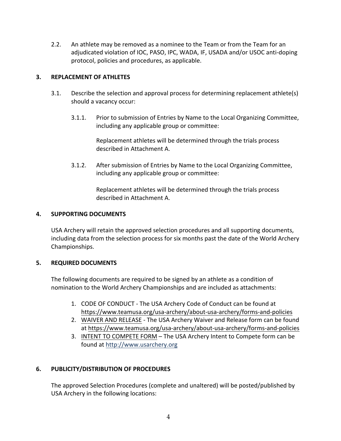2.2. An athlete may be removed as a nominee to the Team or from the Team for an adjudicated violation of IOC, PASO, IPC, WADA, IF, USADA and/or USOC anti-doping protocol, policies and procedures, as applicable.

# **3. REPLACEMENT OF ATHLETES**

- 3.1. Describe the selection and approval process for determining replacement athlete(s) should a vacancy occur:
	- 3.1.1. Prior to submission of Entries by Name to the Local Organizing Committee, including any applicable group or committee:

Replacement athletes will be determined through the trials process described in Attachment A.

3.1.2. After submission of Entries by Name to the Local Organizing Committee, including any applicable group or committee:

> Replacement athletes will be determined through the trials process described in Attachment A.

## **4. SUPPORTING DOCUMENTS**

USA Archery will retain the approved selection procedures and all supporting documents, including data from the selection process for six months past the date of the World Archery Championships.

# **5. REQUIRED DOCUMENTS**

The following documents are required to be signed by an athlete as a condition of nomination to the World Archery Championships and are included as attachments:

- 1. CODE OF CONDUCT The USA Archery Code of Conduct can be found at https://www.teamusa.org/usa-archery/about-usa-archery/forms-and-policies
- 2. WAIVER AND RELEASE The USA Archery Waiver and Release form can be found at https://www.teamusa.org/usa-archery/about-usa-archery/forms-and-policies
- 3. INTENT TO COMPETE FORM The USA Archery Intent to Compete form can be found at http://www.usarchery.org

# **6. PUBLICITY/DISTRIBUTION OF PROCEDURES**

The approved Selection Procedures (complete and unaltered) will be posted/published by USA Archery in the following locations: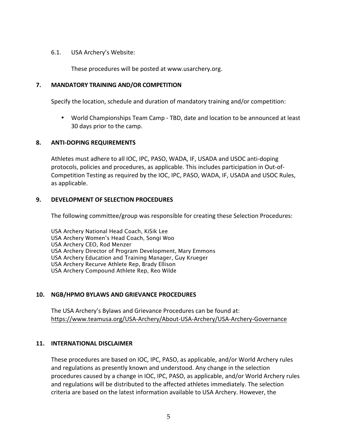## 6.1. USA Archery's Website:

These procedures will be posted at www.usarchery.org.

# **7. MANDATORY TRAINING AND/OR COMPETITION**

Specify the location, schedule and duration of mandatory training and/or competition:

• World Championships Team Camp - TBD, date and location to be announced at least 30 days prior to the camp.

# **8. ANTI-DOPING REQUIREMENTS**

Athletes must adhere to all IOC, IPC, PASO, WADA, IF, USADA and USOC anti-doping protocols, policies and procedures, as applicable. This includes participation in Out-of-Competition Testing as required by the IOC, IPC, PASO, WADA, IF, USADA and USOC Rules, as applicable.

# **9. DEVELOPMENT OF SELECTION PROCEDURES**

The following committee/group was responsible for creating these Selection Procedures:

USA Archery National Head Coach, KiSik Lee USA Archery Women's Head Coach, Songi Woo USA Archery CEO, Rod Menzer USA Archery Director of Program Development, Mary Emmons USA Archery Education and Training Manager, Guy Krueger USA Archery Recurve Athlete Rep, Brady Ellison USA Archery Compound Athlete Rep, Reo Wilde

# **10. NGB/HPMO BYLAWS AND GRIEVANCE PROCEDURES**

The USA Archery's Bylaws and Grievance Procedures can be found at: https://www.teamusa.org/USA-Archery/About-USA-Archery/USA-Archery-Governance

## **11. INTERNATIONAL DISCLAIMER**

These procedures are based on IOC, IPC, PASO, as applicable, and/or World Archery rules and regulations as presently known and understood. Any change in the selection procedures caused by a change in IOC, IPC, PASO, as applicable, and/or World Archery rules and regulations will be distributed to the affected athletes immediately. The selection criteria are based on the latest information available to USA Archery. However, the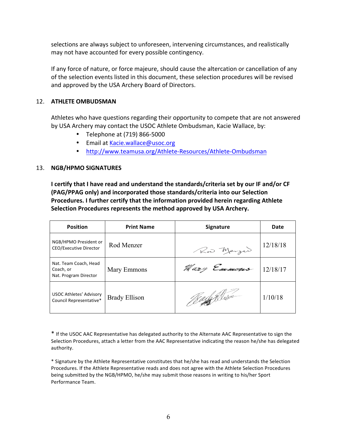selections are always subject to unforeseen, intervening circumstances, and realistically may not have accounted for every possible contingency.

If any force of nature, or force majeure, should cause the altercation or cancellation of any of the selection events listed in this document, these selection procedures will be revised and approved by the USA Archery Board of Directors.

# 12. **ATHLETE OMBUDSMAN**

Athletes who have questions regarding their opportunity to compete that are not answered by USA Archery may contact the USOC Athlete Ombudsman, Kacie Wallace, by:

- Telephone at (719) 866-5000
- Email at Kacie.wallace@usoc.org
- http://www.teamusa.org/Athlete-Resources/Athlete-Ombudsman

# 13. **NGB/HPMO SIGNATURES**

**I certify that I have read and understand the standards/criteria set by our IF and/or CF (PAG/PPAG only) and incorporated those standards/criteria into our Selection Procedures. I further certify that the information provided herein regarding Athlete Selection Procedures represents the method approved by USA Archery.**

| <b>Position</b>                                             | <b>Print Name</b>    | <b>Signature</b> | Date     |
|-------------------------------------------------------------|----------------------|------------------|----------|
| NGB/HPMO President or<br><b>CEO/Executive Director</b>      | Rod Menzer           | Row Marger       | 12/18/18 |
| Nat. Team Coach, Head<br>Coach, or<br>Nat. Program Director | Mary Emmons          | Mary Emmons      | 12/18/17 |
| <b>USOC Athletes' Advisory</b><br>Council Representative*   | <b>Brady Ellison</b> | /Jay fi Misso    | 1/10/18  |

\* If the USOC AAC Representative has delegated authority to the Alternate AAC Representative to sign the Selection Procedures, attach a letter from the AAC Representative indicating the reason he/she has delegated authority.

\* Signature by the Athlete Representative constitutes that he/she has read and understands the Selection Procedures. If the Athlete Representative reads and does not agree with the Athlete Selection Procedures being submitted by the NGB/HPMO, he/she may submit those reasons in writing to his/her Sport Performance Team.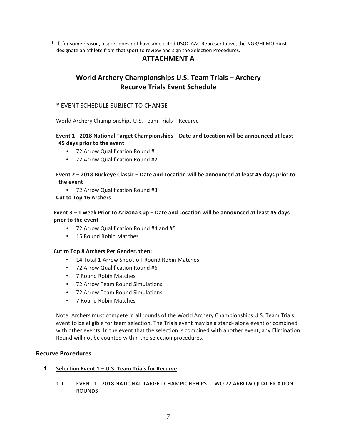\* If, for some reason, a sport does not have an elected USOC AAC Representative, the NGB/HPMO must designate an athlete from that sport to review and sign the Selection Procedures.

# **ATTACHMENT A**

# **World Archery Championships U.S. Team Trials – Archery Recurve Trials Event Schedule**

# \* EVENT SCHEDULE SUBJECT TO CHANGE

World Archery Championships U.S. Team Trials – Recurve

## **Event 1 - 2018 National Target Championships – Date and Location will be announced at least 45 days prior to the event**

- 72 Arrow Qualification Round #1
- 72 Arrow Qualification Round #2

## Event 2 - 2018 Buckeye Classic - Date and Location will be announced at least 45 days prior to **the event**

• 72 Arrow Qualification Round #3

#### **Cut to Top 16 Archers**

## Event 3 - 1 week Prior to Arizona Cup - Date and Location will be announced at least 45 days **prior to the event**

- 72 Arrow Qualification Round #4 and #5
- 15 Round Robin Matches

#### **Cut to Top 8 Archers Per Gender, then;**

- 14 Total 1-Arrow Shoot-off Round Robin Matches
- 72 Arrow Qualification Round #6
- 7 Round Robin Matches
- 72 Arrow Team Round Simulations
- 72 Arrow Team Round Simulations
- 7 Round Robin Matches

Note: Archers must compete in all rounds of the World Archery Championships U.S. Team Trials event to be eligible for team selection. The Trials event may be a stand- alone event or combined with other events. In the event that the selection is combined with another event, any Elimination Round will not be counted within the selection procedures.

#### **Recurve Procedures**

#### **1. Selection Event 1 – U.S. Team Trials for Recurve**

1.1 EVENT 1 - 2018 NATIONAL TARGET CHAMPIONSHIPS - TWO 72 ARROW QUALIFICATION ROUNDS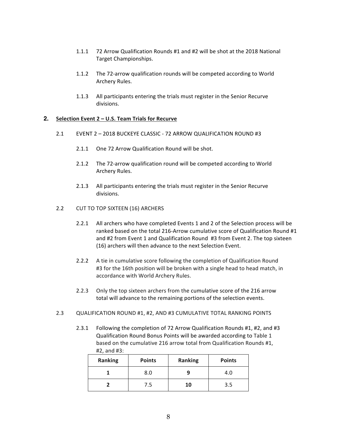- 1.1.1 72 Arrow Qualification Rounds #1 and #2 will be shot at the 2018 National Target Championships.
- 1.1.2 The 72-arrow qualification rounds will be competed according to World Archery Rules.
- 1.1.3 All participants entering the trials must register in the Senior Recurve divisions.

#### **2. Selection Event 2 – U.S. Team Trials for Recurve**

- 2.1 EVENT 2 2018 BUCKEYE CLASSIC 72 ARROW QUALIFICATION ROUND #3
	- 2.1.1 One 72 Arrow Qualification Round will be shot.
	- 2.1.2 The 72-arrow qualification round will be competed according to World Archery Rules.
	- 2.1.3 All participants entering the trials must register in the Senior Recurve divisions.
- 2.2 CUT TO TOP SIXTEEN (16) ARCHERS
	- 2.2.1 All archers who have completed Events 1 and 2 of the Selection process will be ranked based on the total 216-Arrow cumulative score of Qualification Round #1 and #2 from Event 1 and Qualification Round #3 from Event 2. The top sixteen (16) archers will then advance to the next Selection Event.
	- 2.2.2 A tie in cumulative score following the completion of Qualification Round #3 for the 16th position will be broken with a single head to head match, in accordance with World Archery Rules.
	- 2.2.3 Only the top sixteen archers from the cumulative score of the 216 arrow total will advance to the remaining portions of the selection events.
- 2.3 QUALIFICATION ROUND #1, #2, AND #3 CUMULATIVE TOTAL RANKING POINTS
	- 2.3.1 Following the completion of 72 Arrow Qualification Rounds #1, #2, and #3 Qualification Round Bonus Points will be awarded according to Table 1 based on the cumulative 216 arrow total from Qualification Rounds #1, #2, and #3:

| <b>Ranking</b> | <b>Points</b> | <b>Ranking</b> | <b>Points</b> |
|----------------|---------------|----------------|---------------|
|                | 8.0           |                | 4.0           |
|                | 7.5           | 10             | 3.5           |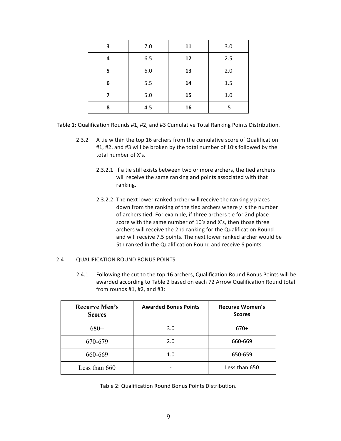| 3 | 7.0 | 11 | 3.0 |
|---|-----|----|-----|
| 4 | 6.5 | 12 | 2.5 |
| 5 | 6.0 | 13 | 2.0 |
| 6 | 5.5 | 14 | 1.5 |
|   | 5.0 | 15 | 1.0 |
| 8 | 4.5 | 16 | .5  |

#### Table 1: Qualification Rounds #1, #2, and #3 Cumulative Total Ranking Points Distribution.

- 2.3.2 A tie within the top 16 archers from the cumulative score of Qualification #1, #2, and #3 will be broken by the total number of 10's followed by the total number of X's.
	- 2.3.2.1 If a tie still exists between two or more archers, the tied archers will receive the same ranking and points associated with that ranking.
	- 2.3.2.2 The next lower ranked archer will receive the ranking *y* places down from the ranking of the tied archers where *y* is the number of archers tied. For example, if three archers tie for 2nd place score with the same number of 10's and X's, then those three archers will receive the 2nd ranking for the Qualification Round and will receive 7.5 points. The next lower ranked archer would be 5th ranked in the Qualification Round and receive 6 points.

#### 2.4 QUALIFICATION ROUND BONUS POINTS

2.4.1 Following the cut to the top 16 archers, Qualification Round Bonus Points will be awarded according to Table 2 based on each 72 Arrow Qualification Round total from rounds  $#1, #2,$  and  $#3:$ 

| <b>Recurve Men's</b><br><b>Scores</b> | <b>Awarded Bonus Points</b> | <b>Recurve Women's</b><br><b>Scores</b> |
|---------------------------------------|-----------------------------|-----------------------------------------|
| $680+$                                | 3.0                         | $670+$                                  |
| 670-679                               | 2.0                         | 660-669                                 |
| 660-669                               | 1.0                         | 650-659                                 |
| Less than 660                         |                             | Less than 650                           |

Table 2: Qualification Round Bonus Points Distribution.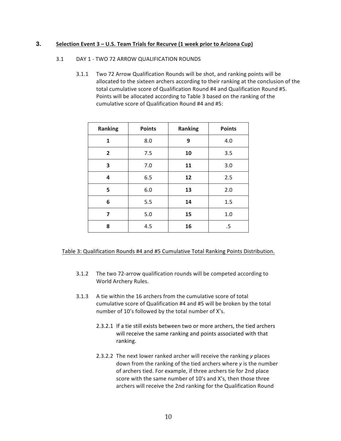## **3. Selection Event 3 – U.S. Team Trials for Recurve (1 week prior to Arizona Cup)**

#### 3.1 DAY 1 - TWO 72 ARROW QUALIFICATION ROUNDS

3.1.1 Two 72 Arrow Qualification Rounds will be shot, and ranking points will be allocated to the sixteen archers according to their ranking at the conclusion of the total cumulative score of Qualification Round #4 and Qualification Round #5. Points will be allocated according to Table 3 based on the ranking of the cumulative score of Qualification Round #4 and #5:

| <b>Ranking</b> | <b>Points</b> | Ranking | <b>Points</b> |
|----------------|---------------|---------|---------------|
| 1              | 8.0           | 9       | 4.0           |
| $\overline{2}$ | 7.5           | 10      | 3.5           |
| 3              | 7.0           | 11      | 3.0           |
| 4              | 6.5           | 12      | 2.5           |
| 5              | 6.0           | 13      | 2.0           |
| 6              | 5.5           | 14      | 1.5           |
| 7              | 5.0           | 15      | 1.0           |
| 8              | 4.5           | 16      | .5            |

#### Table 3: Qualification Rounds #4 and #5 Cumulative Total Ranking Points Distribution.

- 3.1.2 The two 72-arrow qualification rounds will be competed according to World Archery Rules.
- 3.1.3 A tie within the 16 archers from the cumulative score of total cumulative score of Qualification #4 and #5 will be broken by the total number of 10's followed by the total number of X's.
	- 2.3.2.1 If a tie still exists between two or more archers, the tied archers will receive the same ranking and points associated with that ranking.
	- 2.3.2.2 The next lower ranked archer will receive the ranking *y* places down from the ranking of the tied archers where *y* is the number of archers tied. For example, if three archers tie for 2nd place score with the same number of 10's and X's, then those three archers will receive the 2nd ranking for the Qualification Round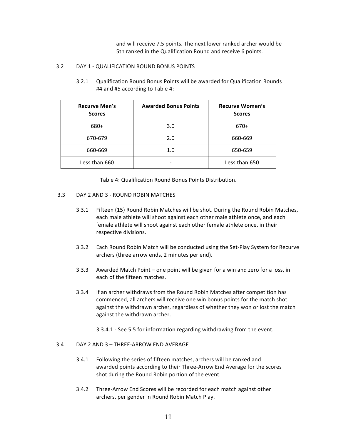and will receive 7.5 points. The next lower ranked archer would be 5th ranked in the Qualification Round and receive 6 points.

#### 3.2 DAY 1 - QUALIFICATION ROUND BONUS POINTS

3.2.1 Qualification Round Bonus Points will be awarded for Qualification Rounds #4 and #5 according to Table 4:

| <b>Recurve Men's</b><br><b>Scores</b> | <b>Awarded Bonus Points</b> | <b>Recurve Women's</b><br><b>Scores</b> |
|---------------------------------------|-----------------------------|-----------------------------------------|
| 680+                                  | 3.0                         | $670+$                                  |
| 670-679                               | 2.0                         | 660-669                                 |
| 660-669                               | 1.0                         | 650-659                                 |
| Less than 660                         |                             | Less than 650                           |

#### Table 4: Qualification Round Bonus Points Distribution.

#### 3.3 DAY 2 AND 3 - ROUND ROBIN MATCHES

- 3.3.1 Fifteen (15) Round Robin Matches will be shot. During the Round Robin Matches, each male athlete will shoot against each other male athlete once, and each female athlete will shoot against each other female athlete once, in their respective divisions.
- 3.3.2 Each Round Robin Match will be conducted using the Set-Play System for Recurve archers (three arrow ends, 2 minutes per end).
- 3.3.3 Awarded Match Point one point will be given for a win and zero for a loss, in each of the fifteen matches.
- 3.3.4 If an archer withdraws from the Round Robin Matches after competition has commenced, all archers will receive one win bonus points for the match shot against the withdrawn archer, regardless of whether they won or lost the match against the withdrawn archer.
	- 3.3.4.1 See 5.5 for information regarding withdrawing from the event.

#### 3.4 DAY 2 AND 3 – THREE-ARROW END AVERAGE

- 3.4.1 Following the series of fifteen matches, archers will be ranked and awarded points according to their Three-Arrow End Average for the scores shot during the Round Robin portion of the event.
- 3.4.2 Three-Arrow End Scores will be recorded for each match against other archers, per gender in Round Robin Match Play.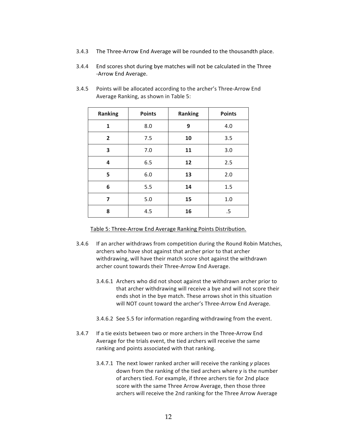- 3.4.3 The Three-Arrow End Average will be rounded to the thousandth place.
- 3.4.4 End scores shot during bye matches will not be calculated in the Three -Arrow End Average.

| <b>Ranking</b> | <b>Points</b> | <b>Ranking</b> | <b>Points</b> |
|----------------|---------------|----------------|---------------|
| 1              | 8.0           | 9              | 4.0           |
| $\mathbf{2}$   | 7.5           | 10             | 3.5           |
| 3              | 7.0           | 11             | 3.0           |
| 4              | 6.5           | 12             | 2.5           |
| 5              | 6.0           | 13             | 2.0           |
| 6              | 5.5           | 14             | 1.5           |
| 7              | 5.0           | 15             | 1.0           |
| 8              | 4.5           | 16             | .5            |

3.4.5 Points will be allocated according to the archer's Three-Arrow End Average Ranking, as shown in Table 5:

Table 5: Three-Arrow End Average Ranking Points Distribution.

- 3.4.6 If an archer withdraws from competition during the Round Robin Matches, archers who have shot against that archer prior to that archer withdrawing, will have their match score shot against the withdrawn archer count towards their Three-Arrow End Average.
	- 3.4.6.1 Archers who did not shoot against the withdrawn archer prior to that archer withdrawing will receive a bye and will not score their ends shot in the bye match. These arrows shot in this situation will NOT count toward the archer's Three-Arrow End Average.
	- 3.4.6.2 See 5.5 for information regarding withdrawing from the event.
- 3.4.7 If a tie exists between two or more archers in the Three-Arrow End Average for the trials event, the tied archers will receive the same ranking and points associated with that ranking.
	- 3.4.7.1 The next lower ranked archer will receive the ranking *y* places down from the ranking of the tied archers where *y* is the number of archers tied. For example, if three archers tie for 2nd place score with the same Three Arrow Average, then those three archers will receive the 2nd ranking for the Three Arrow Average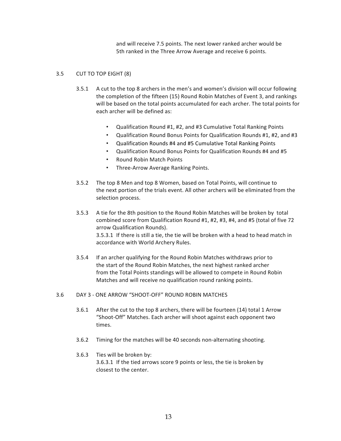and will receive 7.5 points. The next lower ranked archer would be 5th ranked in the Three Arrow Average and receive 6 points.

#### 3.5 CUT TO TOP EIGHT (8)

- 3.5.1 A cut to the top 8 archers in the men's and women's division will occur following the completion of the fifteen (15) Round Robin Matches of Event 3, and rankings will be based on the total points accumulated for each archer. The total points for each archer will be defined as:
	- Qualification Round #1, #2, and #3 Cumulative Total Ranking Points
	- Qualification Round Bonus Points for Qualification Rounds #1, #2, and #3
	- Qualification Rounds #4 and #5 Cumulative Total Ranking Points
	- Qualification Round Bonus Points for Qualification Rounds #4 and #5
	- Round Robin Match Points
	- Three-Arrow Average Ranking Points.
- 3.5.2 The top 8 Men and top 8 Women, based on Total Points, will continue to the next portion of the trials event. All other archers will be eliminated from the selection process.
- 3.5.3 A tie for the 8th position to the Round Robin Matches will be broken by total combined score from Qualification Round #1, #2, #3, #4, and #5 (total of five 72 arrow Qualification Rounds). 3.5.3.1 If there is still a tie, the tie will be broken with a head to head match in accordance with World Archery Rules.
- 3.5.4 If an archer qualifying for the Round Robin Matches withdraws prior to the start of the Round Robin Matches, the next highest ranked archer from the Total Points standings will be allowed to compete in Round Robin Matches and will receive no qualification round ranking points.

#### 3.6 DAY 3 - ONE ARROW "SHOOT-OFF" ROUND ROBIN MATCHES

- 3.6.1 After the cut to the top 8 archers, there will be fourteen (14) total 1 Arrow "Shoot-Off" Matches. Each archer will shoot against each opponent two times.
- 3.6.2 Timing for the matches will be 40 seconds non-alternating shooting.

## 3.6.3 Ties will be broken by: 3.6.3.1 If the tied arrows score 9 points or less, the tie is broken by closest to the center.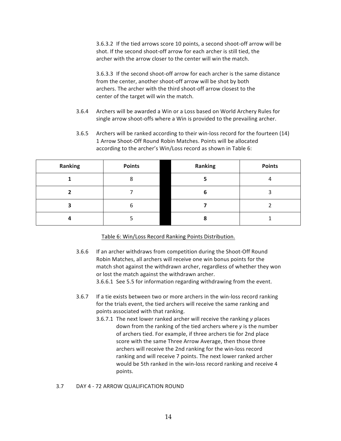3.6.3.2 If the tied arrows score 10 points, a second shoot-off arrow will be shot. If the second shoot-off arrow for each archer is still tied, the archer with the arrow closer to the center will win the match.

3.6.3.3 If the second shoot-off arrow for each archer is the same distance from the center, another shoot-off arrow will be shot by both archers. The archer with the third shoot-off arrow closest to the center of the target will win the match.

- 3.6.4 Archers will be awarded a Win or a Loss based on World Archery Rules for single arrow shoot-offs where a Win is provided to the prevailing archer.
- 3.6.5 Archers will be ranked according to their win-loss record for the fourteen (14) 1 Arrow Shoot-Off Round Robin Matches. Points will be allocated according to the archer's Win/Loss record as shown in Table 6:

| Ranking | <b>Points</b> | Ranking | <b>Points</b> |
|---------|---------------|---------|---------------|
|         |               |         |               |
|         |               | b       |               |
|         | h             |         |               |
|         |               |         |               |

Table 6: Win/Loss Record Ranking Points Distribution.

- 3.6.6 If an archer withdraws from competition during the Shoot-Off Round Robin Matches, all archers will receive one win bonus points for the match shot against the withdrawn archer, regardless of whether they won or lost the match against the withdrawn archer. 3.6.6.1 See 5.5 for information regarding withdrawing from the event.
- 3.6.7 If a tie exists between two or more archers in the win-loss record ranking for the trials event, the tied archers will receive the same ranking and points associated with that ranking.
	- 3.6.7.1 The next lower ranked archer will receive the ranking *y* places down from the ranking of the tied archers where *y* is the number of archers tied. For example, if three archers tie for 2nd place score with the same Three Arrow Average, then those three archers will receive the 2nd ranking for the win-loss record ranking and will receive 7 points. The next lower ranked archer would be 5th ranked in the win-loss record ranking and receive 4 points.
- 3.7 DAY 4 72 ARROW QUALIFICATION ROUND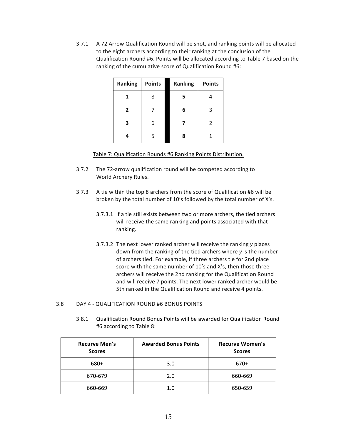3.7.1 A 72 Arrow Qualification Round will be shot, and ranking points will be allocated to the eight archers according to their ranking at the conclusion of the Qualification Round #6. Points will be allocated according to Table 7 based on the ranking of the cumulative score of Qualification Round #6:

| Ranking        | <b>Points</b> | Ranking | <b>Points</b> |
|----------------|---------------|---------|---------------|
| 1              | ጸ             | 5       | 4             |
| $\overline{2}$ |               | 6       | 3             |
| 3              | 6             |         | 2             |
|                | 5             | 8       |               |

Table 7: Qualification Rounds #6 Ranking Points Distribution.

- 3.7.2 The 72-arrow qualification round will be competed according to World Archery Rules.
- 3.7.3 A tie within the top 8 archers from the score of Qualification #6 will be broken by the total number of 10's followed by the total number of X's.
	- 3.7.3.1 If a tie still exists between two or more archers, the tied archers will receive the same ranking and points associated with that ranking.
	- 3.7.3.2 The next lower ranked archer will receive the ranking *y* places down from the ranking of the tied archers where *y* is the number of archers tied. For example, if three archers tie for 2nd place score with the same number of 10's and X's, then those three archers will receive the 2nd ranking for the Qualification Round and will receive 7 points. The next lower ranked archer would be 5th ranked in the Qualification Round and receive 4 points.
- 3.8 DAY 4 QUALIFICATION ROUND #6 BONUS POINTS
	- 3.8.1 Qualification Round Bonus Points will be awarded for Qualification Round #6 according to Table 8:

| <b>Recurve Men's</b><br><b>Scores</b> | <b>Awarded Bonus Points</b> | <b>Recurve Women's</b><br><b>Scores</b> |
|---------------------------------------|-----------------------------|-----------------------------------------|
| 680+                                  | 3.0                         | $670+$                                  |
| 670-679                               | 2.0                         | 660-669                                 |
| 660-669                               | 1.0                         | 650-659                                 |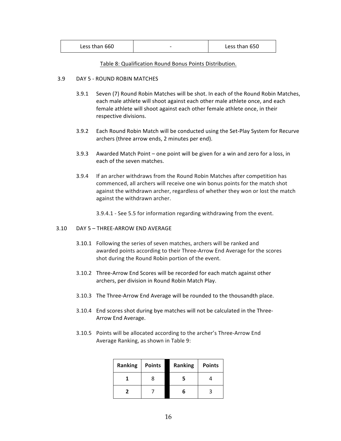#### Table 8: Qualification Round Bonus Points Distribution.

#### 3.9 DAY 5 - ROUND ROBIN MATCHES

- 3.9.1 Seven (7) Round Robin Matches will be shot. In each of the Round Robin Matches, each male athlete will shoot against each other male athlete once, and each female athlete will shoot against each other female athlete once, in their respective divisions.
- 3.9.2 Each Round Robin Match will be conducted using the Set-Play System for Recurve archers (three arrow ends, 2 minutes per end).
- 3.9.3 Awarded Match Point one point will be given for a win and zero for a loss, in each of the seven matches.
- 3.9.4 If an archer withdraws from the Round Robin Matches after competition has commenced, all archers will receive one win bonus points for the match shot against the withdrawn archer, regardless of whether they won or lost the match against the withdrawn archer.

3.9.4.1 - See 5.5 for information regarding withdrawing from the event. 

#### 3.10 DAY 5 – THREE-ARROW END AVERAGE

- 3.10.1 Following the series of seven matches, archers will be ranked and awarded points according to their Three-Arrow End Average for the scores shot during the Round Robin portion of the event.
- 3.10.2 Three-Arrow End Scores will be recorded for each match against other archers, per division in Round Robin Match Play.
- 3.10.3 The Three-Arrow End Average will be rounded to the thousandth place.
- 3.10.4 End scores shot during bye matches will not be calculated in the Three-Arrow End Average.
- 3.10.5 Points will be allocated according to the archer's Three-Arrow End Average Ranking, as shown in Table 9:

| Ranking | <b>Points</b> | Ranking | <b>Points</b> |
|---------|---------------|---------|---------------|
|         |               |         |               |
|         |               |         |               |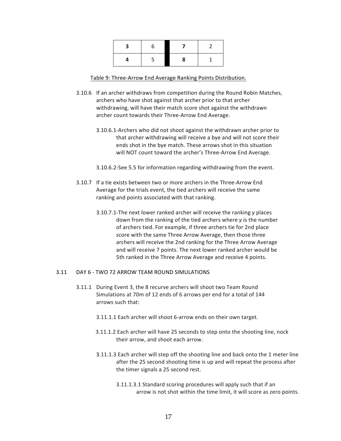| n |   |  |
|---|---|--|
|   | 8 |  |

#### Table 9: Three-Arrow End Average Ranking Points Distribution.

- 3.10.6 If an archer withdraws from competition during the Round Robin Matches, archers who have shot against that archer prior to that archer withdrawing, will have their match score shot against the withdrawn archer count towards their Three-Arrow End Average.
	- 3.10.6.1-Archers who did not shoot against the withdrawn archer prior to that archer withdrawing will receive a bye and will not score their ends shot in the bye match. These arrows shot in this situation will NOT count toward the archer's Three-Arrow End Average.

3.10.6.2-See 5.5 for information regarding withdrawing from the event.

- 3.10.7 If a tie exists between two or more archers in the Three-Arrow End Average for the trials event, the tied archers will receive the same ranking and points associated with that ranking.
	- 3.10.7.1-The next lower ranked archer will receive the ranking *y* places down from the ranking of the tied archers where *y* is the number of archers tied. For example, if three archers tie for 2nd place score with the same Three Arrow Average, then those three archers will receive the 2nd ranking for the Three Arrow Average and will receive 7 points. The next lower ranked archer would be 5th ranked in the Three Arrow Average and receive 4 points.

#### 3.11 DAY 6 - TWO 72 ARROW TEAM ROUND SIMULATIONS

- 3.11.1 During Event 3, the 8 recurve archers will shoot two Team Round Simulations at 70m of 12 ends of 6 arrows per end for a total of 144 arrows such that:
	- 3.11.1.1 Each archer will shoot 6-arrow ends on their own target.
	- 3.11.1.2 Each archer will have 25 seconds to step onto the shooting line, nock their arrow, and shoot each arrow.
	- 3.11.1.3 Each archer will step off the shooting line and back onto the 1 meter line after the 25 second shooting time is up and will repeat the process after the timer signals a 25 second rest.
		- 3.11.1.3.1 Standard scoring procedures will apply such that if an arrow is not shot within the time limit, it will score as zero points.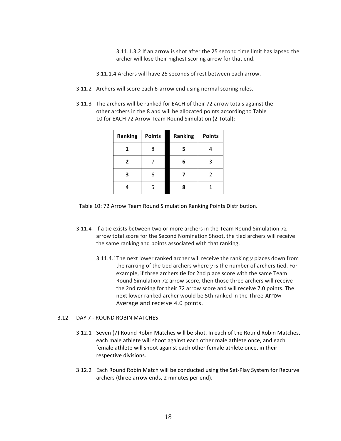3.11.1.3.2 If an arrow is shot after the 25 second time limit has lapsed the archer will lose their highest scoring arrow for that end.

3.11.1.4 Archers will have 25 seconds of rest between each arrow.

- 3.11.2 Archers will score each 6-arrow end using normal scoring rules.
- 3.11.3 The archers will be ranked for EACH of their 72 arrow totals against the other archers in the 8 and will be allocated points according to Table 10 for EACH 72 Arrow Team Round Simulation (2 Total):

| Ranking        | <b>Points</b> | <b>Ranking</b> | <b>Points</b> |
|----------------|---------------|----------------|---------------|
| 1              | 8             | 5              |               |
| $\overline{2}$ |               | 6              | 3             |
| 3              | 6             |                | 2             |
|                | 5             | 8              |               |

Table 10: 72 Arrow Team Round Simulation Ranking Points Distribution.

- 3.11.4 If a tie exists between two or more archers in the Team Round Simulation 72 arrow total score for the Second Nomination Shoot, the tied archers will receive the same ranking and points associated with that ranking.
	- 3.11.4.1The next lower ranked archer will receive the ranking *y* places down from the ranking of the tied archers where *y* is the number of archers tied. For example, if three archers tie for 2nd place score with the same Team Round Simulation 72 arrow score, then those three archers will receive the 2nd ranking for their 72 arrow score and will receive 7.0 points. The next lower ranked archer would be 5th ranked in the Three Arrow Average and receive 4.0 points.

#### 3.12 DAY 7 - ROUND ROBIN MATCHES

- 3.12.1 Seven (7) Round Robin Matches will be shot. In each of the Round Robin Matches, each male athlete will shoot against each other male athlete once, and each female athlete will shoot against each other female athlete once, in their respective divisions.
- 3.12.2 Each Round Robin Match will be conducted using the Set-Play System for Recurve archers (three arrow ends, 2 minutes per end).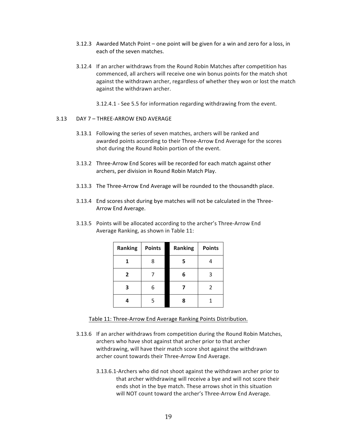- 3.12.3 Awarded Match Point one point will be given for a win and zero for a loss, in each of the seven matches.
- 3.12.4 If an archer withdraws from the Round Robin Matches after competition has commenced, all archers will receive one win bonus points for the match shot against the withdrawn archer, regardless of whether they won or lost the match against the withdrawn archer.
	- 3.12.4.1 See 5.5 for information regarding withdrawing from the event.

#### 3.13 DAY 7 – THREE-ARROW END AVERAGE

- 3.13.1 Following the series of seven matches, archers will be ranked and awarded points according to their Three-Arrow End Average for the scores shot during the Round Robin portion of the event.
- 3.13.2 Three-Arrow End Scores will be recorded for each match against other archers, per division in Round Robin Match Play.
- 3.13.3 The Three-Arrow End Average will be rounded to the thousandth place.
- 3.13.4 End scores shot during bye matches will not be calculated in the Three-Arrow End Average.
- 3.13.5 Points will be allocated according to the archer's Three-Arrow End Average Ranking, as shown in Table 11:

| Ranking      | <b>Points</b> | Ranking | <b>Points</b> |
|--------------|---------------|---------|---------------|
| 1            | 8             | 5       | 4             |
| $\mathbf{2}$ |               | 6       | 3             |
| 3            |               |         | 2             |
| Δ            | 5             | 8       |               |

Table 11: Three-Arrow End Average Ranking Points Distribution.

- 3.13.6 If an archer withdraws from competition during the Round Robin Matches, archers who have shot against that archer prior to that archer withdrawing, will have their match score shot against the withdrawn archer count towards their Three-Arrow End Average.
	- 3.13.6.1-Archers who did not shoot against the withdrawn archer prior to that archer withdrawing will receive a bye and will not score their ends shot in the bye match. These arrows shot in this situation will NOT count toward the archer's Three-Arrow End Average.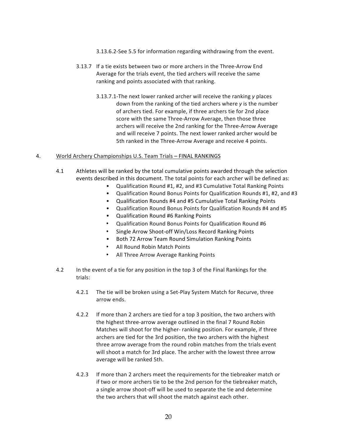- 3.13.6.2-See 5.5 for information regarding withdrawing from the event.
- 3.13.7 If a tie exists between two or more archers in the Three-Arrow End Average for the trials event, the tied archers will receive the same ranking and points associated with that ranking.
	- 3.13.7.1-The next lower ranked archer will receive the ranking *y* places down from the ranking of the tied archers where *y* is the number of archers tied. For example, if three archers tie for 2nd place score with the same Three-Arrow Average, then those three archers will receive the 2nd ranking for the Three-Arrow Average and will receive 7 points. The next lower ranked archer would be 5th ranked in the Three-Arrow Average and receive 4 points.

#### 4. World Archery Championships U.S. Team Trials – FINAL RANKINGS

- 4.1 Athletes will be ranked by the total cumulative points awarded through the selection events described in this document. The total points for each archer will be defined as:
	- Qualification Round #1, #2, and #3 Cumulative Total Ranking Points
	- Qualification Round Bonus Points for Qualification Rounds #1, #2, and #3
	- Qualification Rounds #4 and #5 Cumulative Total Ranking Points
	- Qualification Round Bonus Points for Qualification Rounds #4 and #5
	- Qualification Round #6 Ranking Points
	- Qualification Round Bonus Points for Qualification Round #6
	- Single Arrow Shoot-off Win/Loss Record Ranking Points
	- Both 72 Arrow Team Round Simulation Ranking Points
	- All Round Robin Match Points
	- All Three Arrow Average Ranking Points
- 4.2 In the event of a tie for any position in the top 3 of the Final Rankings for the trials:
	- 4.2.1 The tie will be broken using a Set-Play System Match for Recurve, three arrow ends.
	- 4.2.2 If more than 2 archers are tied for a top 3 position, the two archers with the highest three-arrow average outlined in the final 7 Round Robin Matches will shoot for the higher- ranking position. For example, if three archers are tied for the 3rd position, the two archers with the highest three arrow average from the round robin matches from the trials event will shoot a match for 3rd place. The archer with the lowest three arrow average will be ranked 5th.
	- 4.2.3 If more than 2 archers meet the requirements for the tiebreaker match or if two or more archers tie to be the 2nd person for the tiebreaker match, a single arrow shoot-off will be used to separate the tie and determine the two archers that will shoot the match against each other.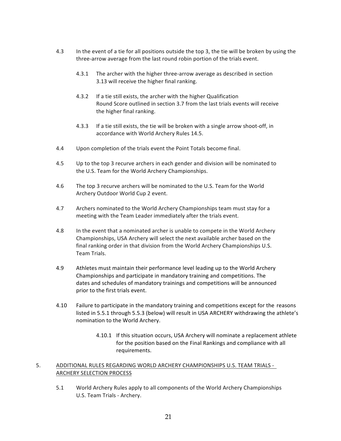- 4.3 In the event of a tie for all positions outside the top 3, the tie will be broken by using the three-arrow average from the last round robin portion of the trials event.
	- 4.3.1 The archer with the higher three-arrow average as described in section 3.13 will receive the higher final ranking.
	- 4.3.2 If a tie still exists, the archer with the higher Qualification Round Score outlined in section 3.7 from the last trials events will receive the higher final ranking.
	- 4.3.3 If a tie still exists, the tie will be broken with a single arrow shoot-off, in accordance with World Archery Rules 14.5.
- 4.4 Upon completion of the trials event the Point Totals become final.
- 4.5 Up to the top 3 recurve archers in each gender and division will be nominated to the U.S. Team for the World Archery Championships.
- 4.6 The top 3 recurve archers will be nominated to the U.S. Team for the World Archery Outdoor World Cup 2 event.
- 4.7 Archers nominated to the World Archery Championships team must stay for a meeting with the Team Leader immediately after the trials event.
- 4.8 In the event that a nominated archer is unable to compete in the World Archery Championships, USA Archery will select the next available archer based on the final ranking order in that division from the World Archery Championships U.S. Team Trials.
- 4.9 Athletes must maintain their performance level leading up to the World Archery Championships and participate in mandatory training and competitions. The dates and schedules of mandatory trainings and competitions will be announced prior to the first trials event.
- 4.10 Failure to participate in the mandatory training and competitions except for the reasons listed in 5.5.1 through 5.5.3 (below) will result in USA ARCHERY withdrawing the athlete's nomination to the World Archery.
	- 4.10.1 If this situation occurs, USA Archery will nominate a replacement athlete for the position based on the Final Rankings and compliance with all requirements.

## 5. ADDITIONAL RULES REGARDING WORLD ARCHERY CHAMPIONSHIPS U.S. TEAM TRIALS - ARCHERY SELECTION PROCESS

5.1 World Archery Rules apply to all components of the World Archery Championships U.S. Team Trials - Archery.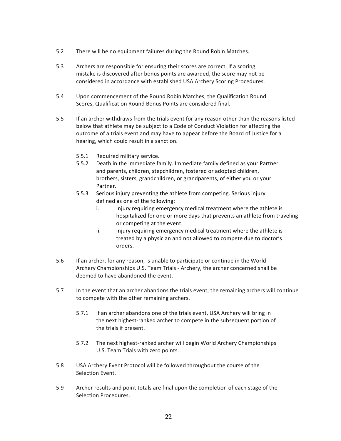- 5.2 There will be no equipment failures during the Round Robin Matches.
- 5.3 Archers are responsible for ensuring their scores are correct. If a scoring mistake is discovered after bonus points are awarded, the score may not be considered in accordance with established USA Archery Scoring Procedures.
- 5.4 Upon commencement of the Round Robin Matches, the Qualification Round Scores, Qualification Round Bonus Points are considered final.
- 5.5 If an archer withdraws from the trials event for any reason other than the reasons listed below that athlete may be subject to a Code of Conduct Violation for affecting the outcome of a trials event and may have to appear before the Board of Justice for a hearing, which could result in a sanction.
	- 5.5.1 Required military service.
	- 5.5.2 Death in the immediate family. Immediate family defined as your Partner and parents, children, stepchildren, fostered or adopted children, brothers, sisters, grandchildren, or grandparents, of either you or your Partner.
	- 5.5.3 Serious injury preventing the athlete from competing. Serious injury defined as one of the following:
		- i. Injury requiring emergency medical treatment where the athlete is hospitalized for one or more days that prevents an athlete from traveling or competing at the event.
		- Ii. Injury requiring emergency medical treatment where the athlete is treated by a physician and not allowed to compete due to doctor's orders.
- 5.6 If an archer, for any reason, is unable to participate or continue in the World Archery Championships U.S. Team Trials - Archery, the archer concerned shall be deemed to have abandoned the event.
- 5.7 In the event that an archer abandons the trials event, the remaining archers will continue to compete with the other remaining archers.
	- 5.7.1 If an archer abandons one of the trials event, USA Archery will bring in the next highest-ranked archer to compete in the subsequent portion of the trials if present.
	- 5.7.2 The next highest-ranked archer will begin World Archery Championships U.S. Team Trials with zero points.
- 5.8 USA Archery Event Protocol will be followed throughout the course of the Selection Event.
- 5.9 Archer results and point totals are final upon the completion of each stage of the Selection Procedures.